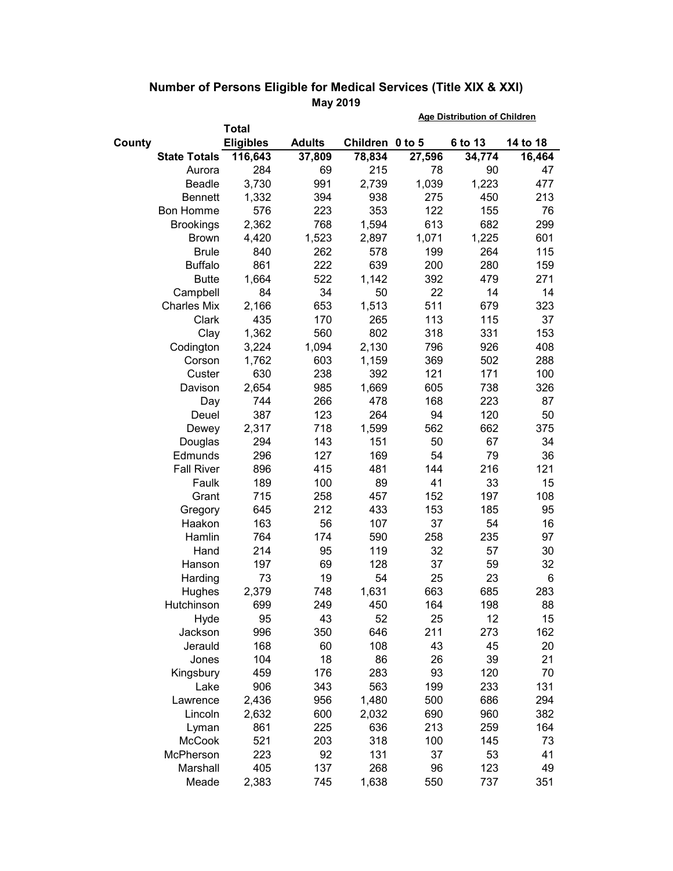|        |                        | <b>Total</b>     |               | <u>Age Distribution of Unilaren</u> |           |           |          |
|--------|------------------------|------------------|---------------|-------------------------------------|-----------|-----------|----------|
| County |                        | <b>Eligibles</b> | <b>Adults</b> | Children 0 to 5                     |           | 6 to 13   | 14 to 18 |
|        | <b>State Totals</b>    | 116,643          | 37,809        | 78,834                              | 27,596    | 34,774    | 16,464   |
|        | Aurora                 | 284              | 69            | 215                                 | 78        | 90        | 47       |
|        | Beadle                 | 3,730            | 991           | 2,739                               | 1,039     | 1,223     | 477      |
|        | <b>Bennett</b>         | 1,332            | 394           | 938                                 | 275       | 450       | 213      |
|        | <b>Bon Homme</b>       | 576              | 223           | 353                                 | 122       | 155       | 76       |
|        | <b>Brookings</b>       | 2,362            | 768           | 1,594                               | 613       | 682       | 299      |
|        | <b>Brown</b>           | 4,420            | 1,523         | 2,897                               | 1,071     | 1,225     | 601      |
|        | <b>Brule</b>           | 840              | 262           | 578                                 | 199       | 264       | 115      |
|        | <b>Buffalo</b>         | 861              | 222           | 639                                 | 200       | 280       | 159      |
|        | <b>Butte</b>           | 1,664            | 522           | 1,142                               | 392       | 479       | 271      |
|        | Campbell               | 84               | 34            | 50                                  | 22        | 14        | 14       |
|        | <b>Charles Mix</b>     | 2,166            | 653           | 1,513                               | 511       | 679       | 323      |
|        | Clark                  | 435              | 170           | 265                                 | 113       | 115       | 37       |
|        | Clay                   | 1,362            | 560           | 802                                 | 318       | 331       | 153      |
|        | Codington              | 3,224            | 1,094         | 2,130                               | 796       | 926       | 408      |
|        | Corson                 | 1,762            | 603           | 1,159                               | 369       | 502       | 288      |
|        | Custer                 | 630              | 238           | 392                                 | 121       | 171       | 100      |
|        | Davison                | 2,654            | 985           | 1,669                               | 605       | 738       | 326      |
|        | Day                    | 744              | 266           | 478                                 | 168       | 223       | 87       |
|        | Deuel                  | 387              | 123           | 264                                 | 94        | 120       | 50       |
|        | Dewey                  | 2,317            | 718           | 1,599                               | 562       | 662       | 375      |
|        | Douglas                | 294              | 143           | 151                                 | 50        | 67        | 34       |
|        | Edmunds                | 296              | 127           | 169                                 | 54        | 79        | 36       |
|        | <b>Fall River</b>      | 896              | 415           | 481                                 | 144       | 216       | 121      |
|        | Faulk                  | 189              | 100           | 89                                  | 41        | 33        | 15       |
|        | Grant                  | 715              | 258           | 457                                 | 152       | 197       | 108      |
|        | Gregory                | 645              | 212           | 433                                 | 153       | 185       | 95       |
|        | Haakon                 | 163              | 56            | 107                                 | 37        | 54        | 16       |
|        | Hamlin                 | 764              | 174           | 590                                 | 258       | 235       | 97       |
|        | Hand                   | 214              | 95            | 119                                 | 32        | 57        | 30       |
|        | Hanson                 | 197              | 69            | 128                                 | 37        | 59        | 32       |
|        | Harding                | 73               | 19            | 54                                  | 25        | 23        | 6        |
|        | Hughes                 | 2,379            | 748           | 1,631                               | 663       | 685       | 283      |
|        | Hutchinson             | 699              | 249           | 450                                 | 164       | 198       | 88       |
|        | Hyde                   | 95               | 43            | 52                                  | 25        | 12        | 15       |
|        | Jackson                | 996              | 350           | 646                                 | 211       | 273       | 162      |
|        | Jerauld                | 168              | 60            | 108                                 | 43        | 45        | 20       |
|        | Jones                  | 104              | 18            | 86                                  | 26        | 39        | 21       |
|        | Kingsbury              | 459              | 176           | 283                                 | 93        | 120       | 70       |
|        | Lake                   | 906              | 343           | 563                                 | 199       | 233       | 131      |
|        | Lawrence               | 2,436            | 956           | 1,480                               | 500       | 686       | 294      |
|        | Lincoln                | 2,632            | 600           | 2,032                               | 690       | 960       | 382      |
|        | Lyman<br><b>McCook</b> | 861              | 225           | 636                                 | 213       | 259       | 164      |
|        | McPherson              | 521              | 203<br>92     | 318<br>131                          | 100<br>37 | 145<br>53 | 73<br>41 |
|        | Marshall               | 223<br>405       | 137           | 268                                 | 96        | 123       | 49       |
|        | Meade                  | 2,383            | 745           | 1,638                               | 550       | 737       | 351      |
|        |                        |                  |               |                                     |           |           |          |

## **Number of Persons Eligible for Medical Services (Title XIX & XXI) May 2019 Age Distribution of Children**